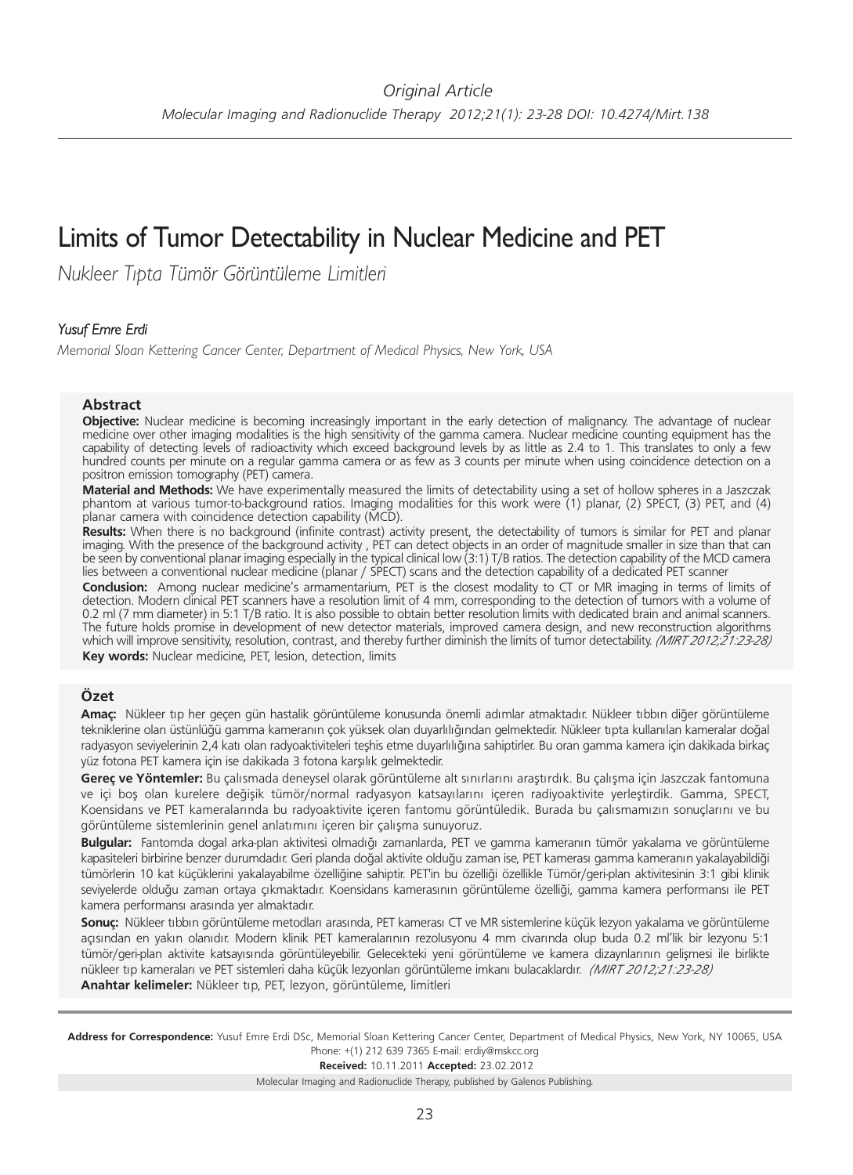# Limits of Tumor Detectability in Nuclear Medicine and PET

*Nukleer Tıpta Tümör Görüntüleme Limitleri*

### *Yusuf Emre Erdi*

*Memorial Sloan Kettering Cancer Center, Department of Medical Physics, New York, USA*

#### **Abstract**

**Objective:** Nuclear medicine is becoming increasingly important in the early detection of malignancy. The advantage of nuclear medicine over other imaging modalities is the high sensitivity of the gamma camera. Nuclear medicine counting equipment has the capability of detecting levels of radioactivity which exceed background levels by as little as 2.4 to 1. This translates to only a few hundred counts per minute on a regular gamma camera or as few as 3 counts per minute when using coincidence detection on a positron emission tomography (PET) camera.

**Material and Methods:** We have experimentally measured the limits of detectability using a set of hollow spheres in a Jaszczak phantom at various tumor-to-background ratios. Imaging modalities for this work were (1) planar, (2) SPECT, (3) PET, and (4) planar camera with coincidence detection capability (MCD).

**Results:** When there is no background (infinite contrast) activity present, the detectability of tumors is similar for PET and planar imaging. With the presence of the background activity, PET can detect objects in an order of magnitude smaller in size than that can be seen by conventional planar imaging especially in the typical clinical low (3:1) T/B ratios. The detection capability of the MCD camera lies between a conventional nuclear medicine (planar / SPECT) scans and the detection capability of a dedicated PET scanner

**Conclusion:** Among nuclear medicine's armamentarium, PET is the closest modality to CT or MR imaging in terms of limits of detection. Modern clinical PET scanners have a resolution limit of 4 mm, corresponding to the detection of tumors with a volume of 0.2 ml (7 mm diameter) in 5:1 T/B ratio. It is also possible to obtain better resolution limits with dedicated brain and animal scanners. The future holds promise in development of new detector materials, improved camera design, and new reconstruction algorithms which will improve sensitivity, resolution, contrast, and thereby further diminish the limits of tumor detectability. *(MIRT 2012;21:23-28)* **Key words:** Nuclear medicine, PET, lesion, detection, limits

# **Özet**

**Amaç:** Nükleer tıp her geçen gün hastalik görüntüleme konusunda önemli adımlar atmaktadır. Nükleer tıbbın diğer görüntüleme tekniklerine olan üstünlüğü gamma kameranın çok yüksek olan duyarlılığından gelmektedir. Nükleer tıpta kullanılan kameralar doğal radyasyon seviyelerinin 2,4 katı olan radyoaktiviteleri teşhis etme duyarlılığına sahiptirler. Bu oran gamma kamera için dakikada birkaç yüz fotona PET kamera için ise dakikada 3 fotona karşılık gelmektedir.

**Gereç ve Yöntemler:** Bu çalısmada deneysel olarak görüntüleme alt sınırlarını araştırdık. Bu çalışma için Jaszczak fantomuna ve içi boş olan kurelere değişik tümör/normal radyasyon katsayılarını içeren radiyoaktivite yerleştirdik. Gamma, SPECT, Koensidans ve PET kameralarında bu radyoaktivite içeren fantomu görüntüledik. Burada bu çalısmamızın sonuçlarını ve bu görüntüleme sistemlerinin genel anlatımını içeren bir çalışma sunuyoruz.

**Bulgular:** Fantomda dogal arka-plan aktivitesi olmadığı zamanlarda, PET ve gamma kameranın tümör yakalama ve görüntüleme kapasiteleri birbirine benzer durumdadır. Geri planda doğal aktivite olduğu zaman ise, PET kamerası gamma kameranın yakalayabildiği tümörlerin 10 kat küçüklerini yakalayabilme özelliğine sahiptir. PET'in bu özelliği özellikle Tümör/geri-plan aktivitesinin 3:1 gibi klinik seviyelerde olduğu zaman ortaya çıkmaktadır. Koensidans kamerasının görüntüleme özelliği, gamma kamera performansı ile PET kamera performansı arasında yer almaktadır.

**Sonuç:** Nükleer tıbbın görüntüleme metodları arasında, PET kamerası CT ve MR sistemlerine küçük lezyon yakalama ve görüntüleme açısından en yakın olanıdır. Modern klinik PET kameralarının rezolusyonu 4 mm civarında olup buda 0.2 ml'lik bir lezyonu 5:1 tümör/geri-plan aktivite katsayısında görüntüleyebilir. Gelecekteki yeni görüntüleme ve kamera dizaynlarının gelişmesi ile birlikte nükleer tıp kameraları ve PET sistemleri daha küçük lezyonları görüntüleme imkanı bulacaklardır. *(MIRT 2012;21:23-28)* **Anahtar kelimeler:** Nükleer tıp, PET, lezyon, görüntüleme, limitleri

Address for Correspondence: Yusuf Emre Erdi DSc, Memorial Sloan Kettering Cancer Center, Department of Medical Physics, New York, NY 10065, USA Phone: +(1) 212 639 7365 E-mail: erdiy@mskcc.org

**Received:** 10.11.2011 **Ac cep ted:** 23.02.2012

Molecular Imaging and Radionuclide Therapy, published by Galenos Publishing.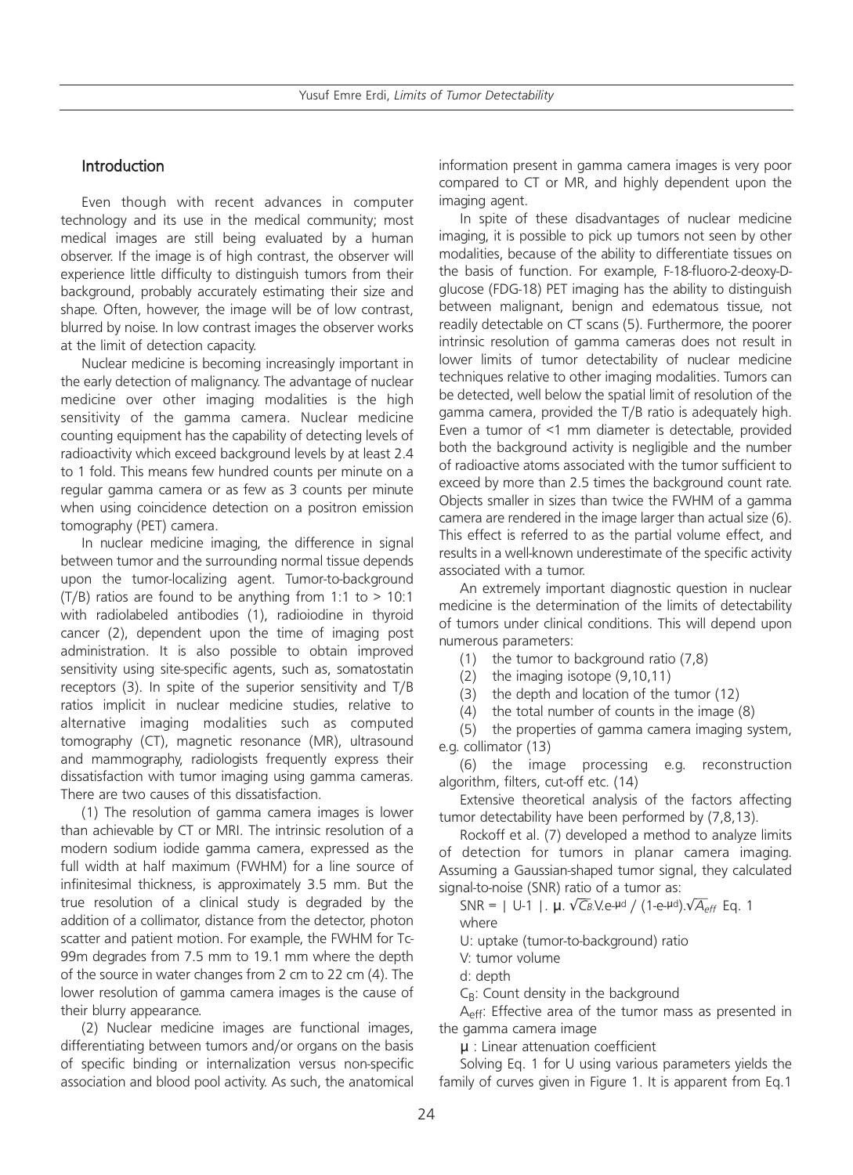# Introduction

Even though with recent advances in computer technology and its use in the medical community; most medical images are still being evaluated by a human observer. If the image is of high contrast, the observer will experience little difficulty to distinguish tumors from their background, probably accurately estimating their size and shape. Often, however, the image will be of low contrast, blurred by noise. In low contrast images the observer works at the limit of detection capacity.

Nuclear medicine is becoming increasingly important in the early detection of malignancy. The advantage of nuclear medicine over other imaging modalities is the high sensitivity of the gamma camera. Nuclear medicine counting equipment has the capability of detecting levels of radioactivity which exceed background levels by at least 2.4 to 1 fold. This means few hundred counts per minute on a regular gamma camera or as few as 3 counts per minute when using coincidence detection on a positron emission tomography (PET) camera.

In nuclear medicine imaging, the difference in signal between tumor and the surrounding normal tissue depends upon the tumor-localizing agent. Tumor-to-background  $(T/B)$  ratios are found to be anything from 1:1 to > 10:1 with radiolabeled antibodies (1), radioiodine in thyroid cancer (2), dependent upon the time of imaging post administration. It is also possible to obtain improved sensitivity using site-specific agents, such as, somatostatin receptors (3). In spite of the superior sensitivity and T/B ratios implicit in nuclear medicine studies, relative to alternative imaging modalities such as computed tomography (CT), magnetic resonance (MR), ultrasound and mammography, radiologists frequently express their dissatisfaction with tumor imaging using gamma cameras. There are two causes of this dissatisfaction.

(1) The resolution of gamma camera images is lower than achievable by CT or MRI. The intrinsic resolution of a modern sodium iodide gamma camera, expressed as the full width at half maximum (FWHM) for a line source of infinitesimal thickness, is approximately 3.5 mm. But the true resolution of a clinical study is degraded by the addition of a collimator, distance from the detector, photon scatter and patient motion. For example, the FWHM for Tc-99m degrades from 7.5 mm to 19.1 mm where the depth of the source in water changes from 2 cm to 22 cm (4). The lower resolution of gamma camera images is the cause of their blurry appearance.

(2) Nuclear medicine images are functional images, differentiating between tumors and/or organs on the basis of specific binding or internalization versus non-specific association and blood pool activity. As such, the anatomical information present in gamma camera images is very poor compared to CT or MR, and highly dependent upon the imaging agent.

In spite of these disadvantages of nuclear medicine imaging, it is possible to pick up tumors not seen by other modalities, because of the ability to differentiate tissues on the basis of function. For example, F-18-fluoro-2-deoxy-Dglucose (FDG-18) PET imaging has the ability to distinguish between malignant, benign and edematous tissue, not readily detectable on CT scans (5). Furthermore, the poorer intrinsic resolution of gamma cameras does not result in lower limits of tumor detectability of nuclear medicine techniques relative to other imaging modalities. Tumors can be detected, well below the spatial limit of resolution of the gamma camera, provided the T/B ratio is adequately high. Even a tumor of <1 mm diameter is detectable, provided both the background activity is negligible and the number of radioactive atoms associated with the tumor sufficient to exceed by more than 2.5 times the background count rate. Objects smaller in sizes than twice the FWHM of a gamma camera are rendered in the image larger than actual size (6). This effect is referred to as the partial volume effect, and results in a well-known underestimate of the specific activity associated with a tumor.

An extremely important diagnostic question in nuclear medicine is the determination of the limits of detectability of tumors under clinical conditions. This will depend upon numerous parameters:

- (1) the tumor to background ratio (7,8)
- (2) the imaging isotope (9,10,11)
- (3) the depth and location of the tumor (12)
- (4) the total number of counts in the image (8)

(5) the properties of gamma camera imaging system, e.g. collimator (13)

(6) the image processing e.g. reconstruction algorithm, filters, cut-off etc. (14)

Extensive theoretical analysis of the factors affecting tumor detectability have been performed by (7,8,13).

Rockoff et al. (7) developed a method to analyze limits of detection for tumors in planar camera imaging. Assuming a Gaussian-shaped tumor signal, they calculated signal-to-noise (SNR) ratio of a tumor as:

SNR = | U-1 |.  $\mu$ .  $\sqrt{C_B}$ V.e- $\mu$ d / (1-e- $\mu$ d). $\sqrt{A_{eff}}$  Eq. 1 where

U: uptake (tumor-to-background) ratio

- V: tumor volume
- d: depth
- $C_{\rm B}$ : Count density in the background

A<sub>eff</sub>: Effective area of the tumor mass as presented in the gamma camera image

µ : Linear attenuation coefficient

Solving Eq. 1 for U using various parameters yields the family of curves given in Figure 1. It is apparent from Eq.1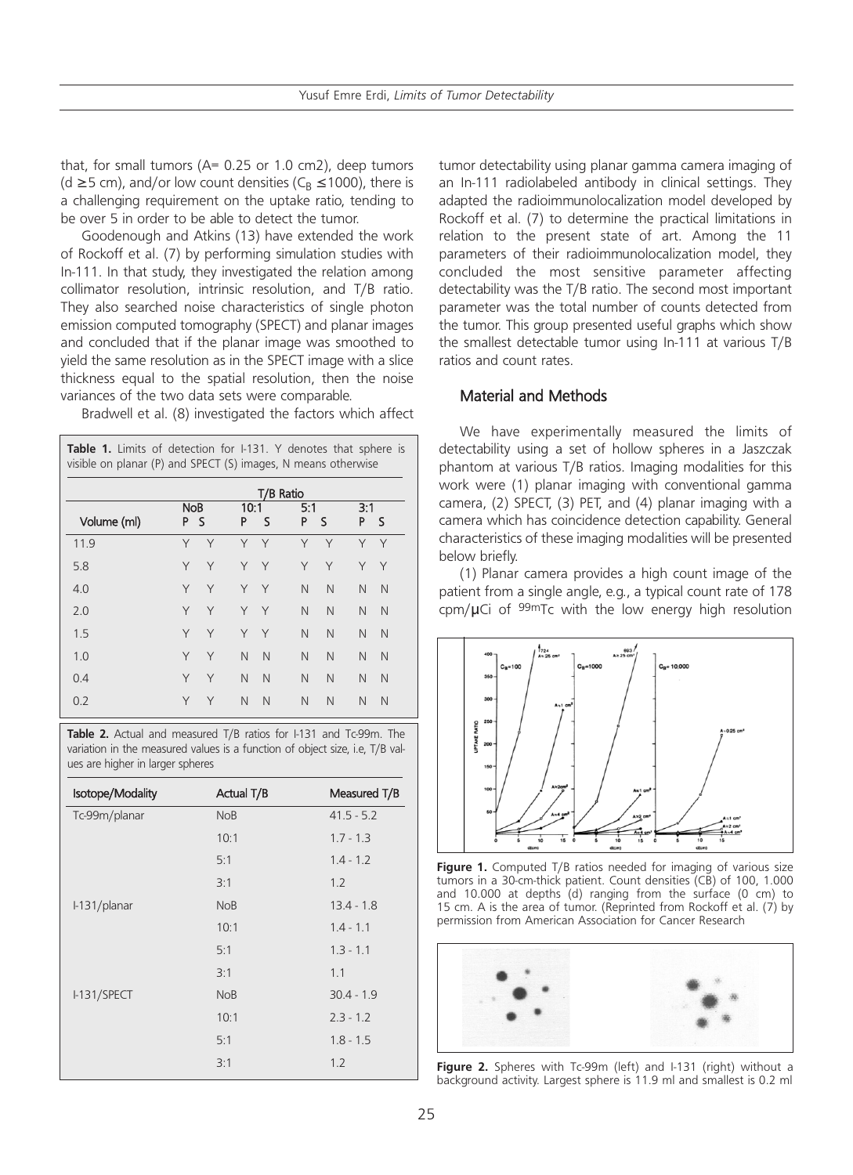that, for small tumors (A= 0.25 or 1.0 cm2), deep tumors (d ≥5 cm), and/or low count densities ( $C_R$  ≤1000), there is a challenging requirement on the uptake ratio, tending to be over 5 in order to be able to detect the tumor.

Goodenough and Atkins (13) have extended the work of Rockoff et al. (7) by performing simulation studies with In-111. In that study, they investigated the relation among collimator resolution, intrinsic resolution, and T/B ratio. They also searched noise characteristics of single photon emission computed tomography (SPECT) and planar images and concluded that if the planar image was smoothed to yield the same resolution as in the SPECT image with a slice thickness equal to the spatial resolution, then the noise variances of the two data sets were comparable.

Bradwell et al. (8) investigated the factors which affect

| Table 1. Limits of detection for I-131. Y denotes that sphere is<br>visible on planar (P) and SPECT (S) images, N means otherwise |   |                   |   |                                                    |           |   |     |
|-----------------------------------------------------------------------------------------------------------------------------------|---|-------------------|---|----------------------------------------------------|-----------|---|-----|
|                                                                                                                                   |   |                   |   |                                                    |           |   |     |
|                                                                                                                                   |   |                   |   | 5:1                                                |           |   |     |
|                                                                                                                                   |   | P                 | S | P                                                  | ς         | P | -S  |
| Υ                                                                                                                                 | Y |                   |   | Y                                                  | Y         | Y | Y   |
| Υ                                                                                                                                 | Υ |                   |   | Y                                                  | Υ         | Υ | Y   |
| Υ                                                                                                                                 | Y | Y                 |   | N                                                  | N         | N | N   |
| Υ                                                                                                                                 | Y | Y                 |   | N                                                  | N         | N | N   |
| Υ                                                                                                                                 | Y | Y                 | Y | N                                                  | N         | N | N   |
| Y                                                                                                                                 | Y | $\mathsf{N}$      | N | N                                                  | N         | N | N   |
| Υ                                                                                                                                 | Y | N                 | N | N                                                  | N         | N | N   |
| Υ                                                                                                                                 | Υ | N                 | N | N                                                  | N         | N | N   |
|                                                                                                                                   |   | <b>NoB</b><br>P S |   | 10:1<br>Y Y<br>Y Y<br>$\mathsf{Y}$<br>$\mathsf{Y}$ | T/B Ratio |   | 3:1 |

Table 2. Actual and measured T/B ratios for I-131 and Tc-99m. The variation in the measured values is a function of object size, i.e, T/B values are higher in larger spheres

| Isotope/Modality | Actual T/B | Measured T/B |
|------------------|------------|--------------|
| Tc-99m/planar    | <b>NoB</b> | $41.5 - 5.2$ |
|                  | 10:1       | $1.7 - 1.3$  |
|                  | 5:1        | $1.4 - 1.2$  |
|                  | 3:1        | 1.2          |
| I-131/planar     | <b>NoB</b> | $13.4 - 1.8$ |
|                  | 10:1       | $1.4 - 1.1$  |
|                  | 5:1        | $1.3 - 1.1$  |
|                  | 3:1        | 1.1          |
| I-131/SPECT      | <b>NoB</b> | $30.4 - 1.9$ |
|                  | 10:1       | $2.3 - 1.2$  |
|                  | 5:1        | $1.8 - 1.5$  |
|                  | 3:1        | 1.2          |

tumor detectability using planar gamma camera imaging of an In-111 radiolabeled antibody in clinical settings. They adapted the radioimmunolocalization model developed by Rockoff et al. (7) to determine the practical limitations in relation to the present state of art. Among the 11 parameters of their radioimmunolocalization model, they concluded the most sensitive parameter affecting detectability was the T/B ratio. The second most important parameter was the total number of counts detected from the tumor. This group presented useful graphs which show the smallest detectable tumor using In-111 at various T/B ratios and count rates.

## Material and Methods

We have experimentally measured the limits of detectability using a set of hollow spheres in a Jaszczak phantom at various T/B ratios. Imaging modalities for this work were (1) planar imaging with conventional gamma camera, (2) SPECT, (3) PET, and (4) planar imaging with a camera which has coincidence detection capability. General characteristics of these imaging modalities will be presented below briefly.

(1) Planar camera provides a high count image of the patient from a single angle, e.g., a typical count rate of 178 cpm/µCi of 99mTc with the low energy high resolution



Figure 1. Computed T/B ratios needed for imaging of various size tumors in a 30-cm-thick patient. Count densities (CB) of 100, 1.000 and 10.000 at depths (d) ranging from the surface (0 cm) to 15 cm. A is the area of tumor. (Reprinted from Rockoff et al. (7) by permission from American Association for Cancer Research



Figure 2. Spheres with Tc-99m (left) and I-131 (right) without a background activity. Largest sphere is 11.9 ml and smallest is 0.2 ml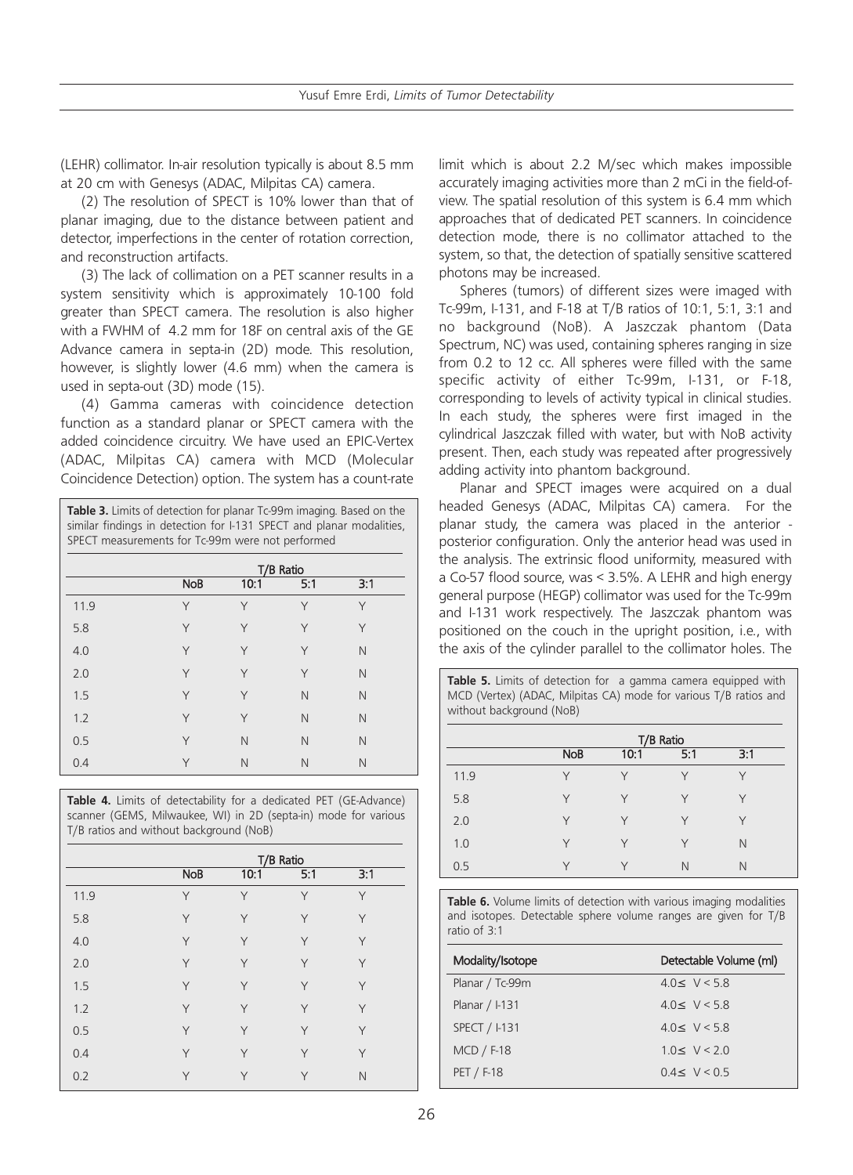(LEHR) collimator. In-air resolution typically is about 8.5 mm at 20 cm with Genesys (ADAC, Milpitas CA) camera.

(2) The resolution of SPECT is 10% lower than that of planar imaging, due to the distance between patient and detector, imperfections in the center of rotation correction, and reconstruction artifacts.

(3) The lack of collimation on a PET scanner results in a system sensitivity which is approximately 10-100 fold greater than SPECT camera. The resolution is also higher with a FWHM of 4.2 mm for 18F on central axis of the GE Advance camera in septa-in (2D) mode. This resolution, however, is slightly lower (4.6 mm) when the camera is used in septa-out (3D) mode (15).

(4) Gamma cameras with coincidence detection function as a standard planar or SPECT camera with the added coincidence circuitry. We have used an EPIC-Vertex (ADAC, Milpitas CA) camera with MCD (Molecular Coincidence Detection) option. The system has a count-rate

| Table 3. Limits of detection for planar Tc-99m imaging. Based on the |  |  |  |  |  |
|----------------------------------------------------------------------|--|--|--|--|--|
| similar findings in detection for I-131 SPECT and planar modalities, |  |  |  |  |  |
| SPECT measurements for Tc-99m were not performed                     |  |  |  |  |  |

| T/B Ratio  |      |     |     |
|------------|------|-----|-----|
| <b>NoB</b> | 10:1 | 5:1 | 3:1 |
| Υ          | Υ    | Υ   | Y   |
| Y          | Υ    | Y   | Υ   |
| Υ          | Υ    | Y   | N   |
| Υ          | Υ    | Y   | N   |
| Υ          | Υ    | N   | N   |
| Υ          | Υ    | N   | N   |
| Υ          | N    | N   | N   |
| Υ          | N    | N   | N   |
|            |      |     |     |

Table 4. Limits of detectability for a dedicated PET (GE-Advance) scanner (GEMS, Milwaukee, WI) in 2D (septa-in) mode for various T/B ratios and without background (NoB)

|      |            | T/B Ratio |     |     |
|------|------------|-----------|-----|-----|
|      | <b>NoB</b> | 10:1      | 5:1 | 3:1 |
| 11.9 | Υ          | Y         | Y   | Y   |
| 5.8  | Υ          | Y         | Y   | Υ   |
| 4.0  | Y          | Y         | Y   | Υ   |
| 2.0  | Υ          | Υ         | Y   | Y   |
| 1.5  | Υ          | Y         | Y   | Y   |
| 1.2  | Υ          | Y         | Y   | Y   |
| 0.5  | Υ          | Y         | Y   | Υ   |
| 0.4  | Υ          | Y         | Y   | Υ   |
| 0.2  | Υ          | Υ         | Υ   | N   |

limit which is about 2.2 M/sec which makes impossible accurately imaging activities more than 2 mCi in the field-ofview. The spatial resolution of this system is 6.4 mm which approaches that of dedicated PET scanners. In coincidence detection mode, there is no collimator attached to the system, so that, the detection of spatially sensitive scattered photons may be increased.

Spheres (tumors) of different sizes were imaged with Tc-99m, I-131, and F-18 at T/B ratios of 10:1, 5:1, 3:1 and no background (NoB). A Jaszczak phantom (Data Spectrum, NC) was used, containing spheres ranging in size from 0.2 to 12 cc. All spheres were filled with the same specific activity of either Tc-99m, I-131, or F-18, corresponding to levels of activity typical in clinical studies. In each study, the spheres were first imaged in the cylindrical Jaszczak filled with water, but with NoB activity present. Then, each study was repeated after progressively adding activity into phantom background.

Planar and SPECT images were acquired on a dual headed Genesys (ADAC, Milpitas CA) camera. For the planar study, the camera was placed in the anterior posterior configuration. Only the anterior head was used in the analysis. The extrinsic flood uniformity, measured with a Co-57 flood source, was < 3.5%. A LEHR and high energy general purpose (HEGP) collimator was used for the Tc-99m and I-131 work respectively. The Jaszczak phantom was positioned on the couch in the upright position, i.e., with the axis of the cylinder parallel to the collimator holes. The

Table 5. Limits of detection for a gamma camera equipped with MCD (Vertex) (ADAC, Milpitas CA) mode for various T/B ratios and without background (NoB)

|      |            | T/B Ratio |        |     |
|------|------------|-----------|--------|-----|
|      | <b>NoB</b> | 10:1      | 5:1    | 3:1 |
| 11.9 | $\vee$     | $\vee$    | $\vee$ |     |
| 5.8  | Υ          | $\vee$    | Υ      | Υ   |
| 2.0  | Υ          | ٧         | Υ      |     |
| 1.0  | Υ          | $\vee$    | Υ      | N   |
| 0.5  | $\vee$     |           | N      | N   |

**Table 6.** Volume limits of detection with various imaging modalities and isotopes. Detectable sphere volume ranges are given for T/B ratio of 3:1

| Modality/Isotope | Detectable Volume (ml) |
|------------------|------------------------|
| Planar / Tc-99m  | $4.0 \leq V < 5.8$     |
| Planar / I-131   | 40 < V < 58            |
| SPECT / I-131    | 40 < V < 58            |
| MCD / F-18       | 10 < V < 20            |
| PET / F-18       | 04 < V < 05            |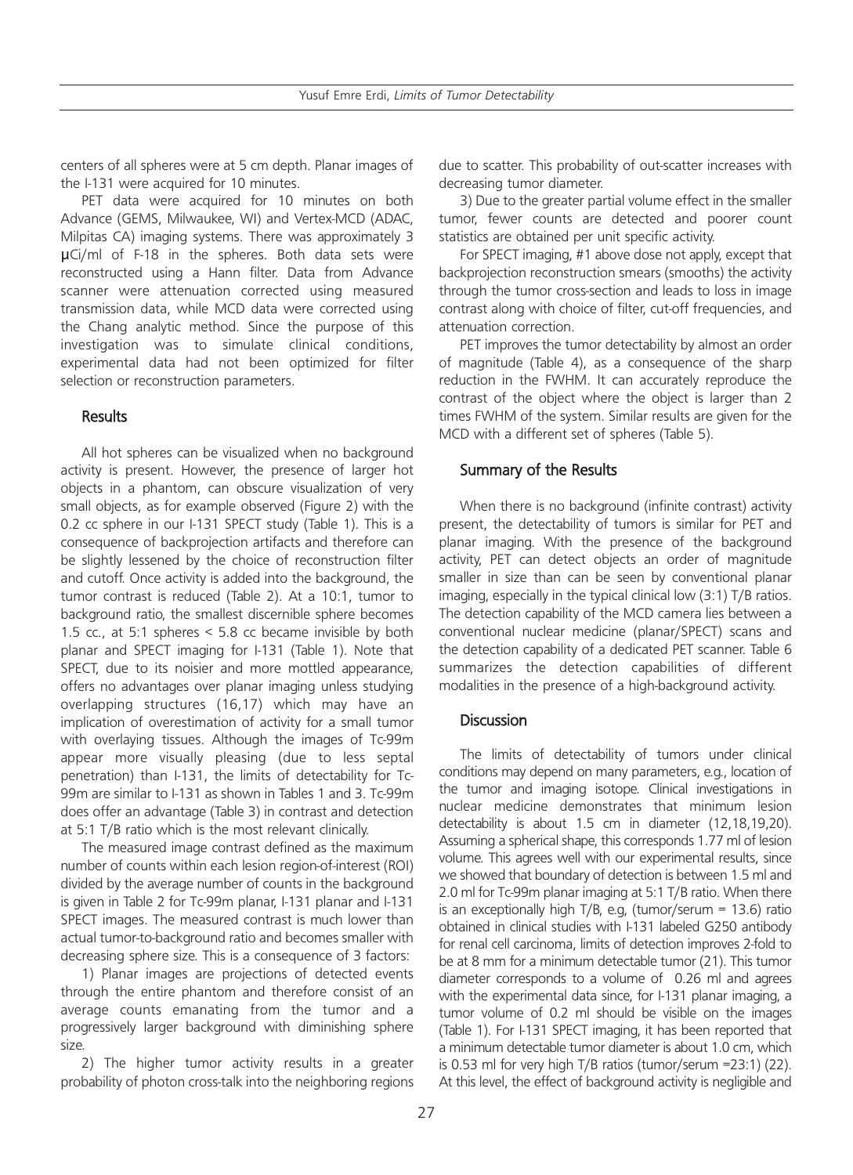Yusuf Emre Erdi, *Limits of Tumor Detectability*

centers of all spheres were at 5 cm depth. Planar images of the I-131 were acquired for 10 minutes.

PET data were acquired for 10 minutes on both Advance (GEMS, Milwaukee, WI) and Vertex-MCD (ADAC, Milpitas CA) imaging systems. There was approximately 3 µCi/ml of F-18 in the spheres. Both data sets were reconstructed using a Hann filter. Data from Advance scanner were attenuation corrected using measured transmission data, while MCD data were corrected using the Chang analytic method. Since the purpose of this investigation was to simulate clinical conditions, experimental data had not been optimized for filter selection or reconstruction parameters.

### **Results**

All hot spheres can be visualized when no background activity is present. However, the presence of larger hot objects in a phantom, can obscure visualization of very small objects, as for example observed (Figure 2) with the 0.2 cc sphere in our I-131 SPECT study (Table 1). This is a consequence of backprojection artifacts and therefore can be slightly lessened by the choice of reconstruction filter and cutoff. Once activity is added into the background, the tumor contrast is reduced (Table 2). At a 10:1, tumor to background ratio, the smallest discernible sphere becomes 1.5 cc., at 5:1 spheres < 5.8 cc became invisible by both planar and SPECT imaging for I-131 (Table 1). Note that SPECT, due to its noisier and more mottled appearance, offers no advantages over planar imaging unless studying overlapping structures (16,17) which may have an implication of overestimation of activity for a small tumor with overlaying tissues. Although the images of Tc-99m appear more visually pleasing (due to less septal penetration) than I-131, the limits of detectability for Tc-99m are similar to I-131 as shown in Tables 1 and 3. Tc-99m does offer an advantage (Table 3) in contrast and detection at 5:1 T/B ratio which is the most relevant clinically.

The measured image contrast defined as the maximum number of counts within each lesion region-of-interest (ROI) divided by the average number of counts in the background is given in Table 2 for Tc-99m planar, I-131 planar and I-131 SPECT images. The measured contrast is much lower than actual tumor-to-background ratio and becomes smaller with decreasing sphere size. This is a consequence of 3 factors:

1) Planar images are projections of detected events through the entire phantom and therefore consist of an average counts emanating from the tumor and a progressively larger background with diminishing sphere size.

2) The higher tumor activity results in a greater probability of photon cross-talk into the neighboring regions due to scatter. This probability of out-scatter increases with decreasing tumor diameter.

3) Due to the greater partial volume effect in the smaller tumor, fewer counts are detected and poorer count statistics are obtained per unit specific activity.

For SPECT imaging, #1 above dose not apply, except that backprojection reconstruction smears (smooths) the activity through the tumor cross-section and leads to loss in image contrast along with choice of filter, cut-off frequencies, and attenuation correction.

PET improves the tumor detectability by almost an order of magnitude (Table 4), as a consequence of the sharp reduction in the FWHM. It can accurately reproduce the contrast of the object where the object is larger than 2 times FWHM of the system. Similar results are given for the MCD with a different set of spheres (Table 5).

## Summary of the Results

When there is no background (infinite contrast) activity present, the detectability of tumors is similar for PET and planar imaging. With the presence of the background activity, PET can detect objects an order of magnitude smaller in size than can be seen by conventional planar imaging, especially in the typical clinical low (3:1) T/B ratios. The detection capability of the MCD camera lies between a conventional nuclear medicine (planar/SPECT) scans and the detection capability of a dedicated PET scanner. Table 6 summarizes the detection capabilities of different modalities in the presence of a high-background activity.

### **Discussion**

The limits of detectability of tumors under clinical conditions may depend on many parameters, e.g., location of the tumor and imaging isotope. Clinical investigations in nuclear medicine demonstrates that minimum lesion detectability is about 1.5 cm in diameter (12,18,19,20). Assuming a spherical shape, this corresponds 1.77 ml of lesion volume. This agrees well with our experimental results, since we showed that boundary of detection is between 1.5 ml and 2.0 ml for Tc-99m planar imaging at 5:1 T/B ratio. When there is an exceptionally high T/B, e.g, (tumor/serum =  $13.6$ ) ratio obtained in clinical studies with I-131 labeled G250 antibody for renal cell carcinoma, limits of detection improves 2-fold to be at 8 mm for a minimum detectable tumor (21). This tumor diameter corresponds to a volume of 0.26 ml and agrees with the experimental data since, for I-131 planar imaging, a tumor volume of 0.2 ml should be visible on the images (Table 1). For I-131 SPECT imaging, it has been reported that a minimum detectable tumor diameter is about 1.0 cm, which is 0.53 ml for very high T/B ratios (tumor/serum =23:1) (22). At this level, the effect of background activity is negligible and